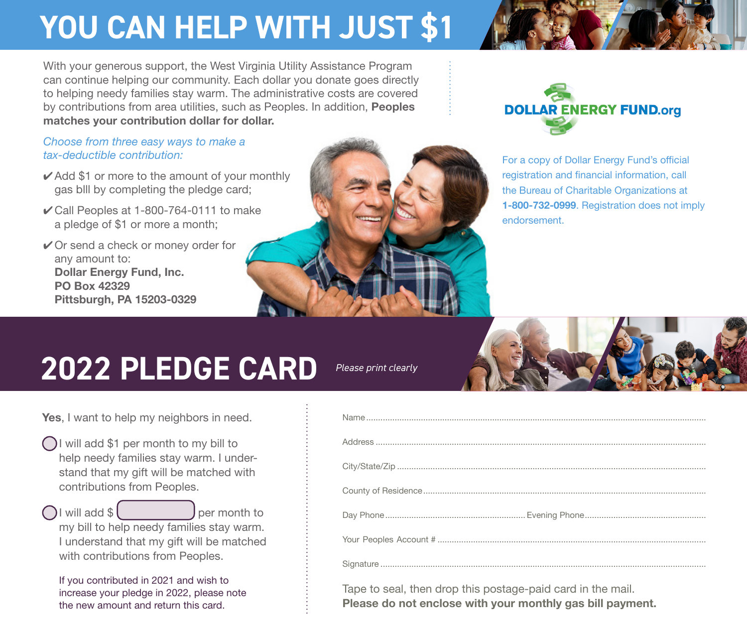## **YOU CAN HELP WITH JUST \$1 YOU CAN HELP WITH JUST \$1**

With your generous support, the West Virginia Utility Assistance Program can continue helping our community. Each dollar you donate goes directly to helping needy families stay warm. The administrative costs are covered by contributions from area utilities, such as Peoples. In addition, **Peoples**<br>**matches your contribution dollar for dollar. matches your contribution dollar for dollar**.

*Choose from three easy ways to make a Choose from three easy ways to make a tax-deductible contribution: tax-deductible contribution:*

- $\checkmark$  Add \$1 or more to the amount of your monthly by completing the pledge card; gas blll by completing the pledge card;
- 4 Call Peoples at 1-800-764-0111 to make ✔ Call Peoples at 1-800-764-0111 to make a pledge of \$1 or more a month; a pledge of \$1 or more a month;
- 4 Or send a check or money order for ✔ Or send a check or money order for any amount to: any amount to: **Dollar Energy Fund, Inc.**  Dollar Energy Fund, Inc. **PO Box 42329**  PO Box 42329 **Pittsburgh, PA 15203-0329** Pittsburgh, PA 15203-0329





For a copy of Dollar Energy Fund's official For a copy of Dollar Energy Fund's official registration and financial information, call registration and financial information, call the Bureau of Charitable Organizations at the Bureau of Charitable Organizations at **1-800-732-0999**. Registration does not imply 1-800-732-0999. Registration does not imply endorsement. endorsement.

## **2020 PLEDGE CARD**

*Please print clearly*



**Yes**, I want to help my neighbors in need. Yes, I want to help my neighbors in need.

- I will add \$1 per month to my bill to I will add \$1 per month to my bill to help needy families stay warm. I under-help needy families stay warm. I understand that my gift will be matched with stand that my gift will be matched with contributions from Peoples. contributions from Peoples.
- I will add \$ per month to my bill to help needy families stay warm. my bill to help needy families stay warm. I understand that my gift will be matched I understand that my gift will be matched with contributions from Peoples.

with contributions from Peoples.<br>If you contributed in 2021 and wish to increase your pledge in 2020, please note increase your pledge in 2022, please note the new amount and return this card. the new amount and return this card.

| Tape to seal, then drop this postage-paid card in the mail. |
|-------------------------------------------------------------|

Tape to seal, then drop this postage-paid card in the mail. **Please do not enclose with your monthly gas bill payment.**